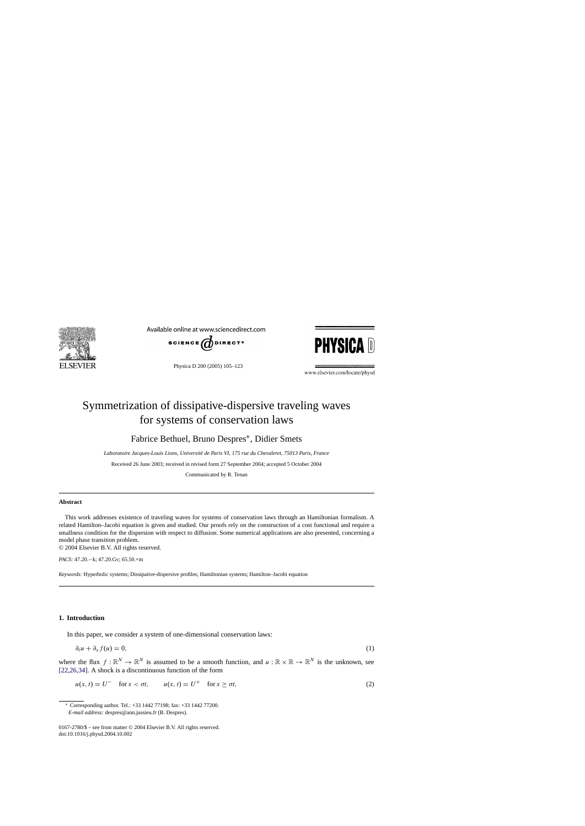<span id="page-0-0"></span>

Available online at www.sciencedirect.com



Physica D 200 (2005) 105–123



www.elsevier.com/locate/physd

# Symmetrization of dissipative-dispersive traveling waves for systems of conservation laws

Fabrice Bethuel, Bruno Despres∗, Didier Smets

Laboratoire Jacques-Louis Lions, Université de Paris VI, 175 rue du Chevaleret, 75013 Paris, France

Received 26 June 2003; received in revised form 27 September 2004; accepted 5 October 2004

Communicated by R. Tenan

## **Abstract**

This work addresses existence of traveling waves for systems of conservation laws through an Hamiltonian formalism. A related Hamilton–Jacobi equation is given and studied. Our proofs rely on the construction of a cost functional and require a smallness condition for the dispersion with respect to diffusion. Some numerical applications are also presented, concerning a model phase transition problem.

© 2004 Elsevier B.V. All rights reserved.

*PACS:* 47.20.−k; 47.20.Gv; 65.50.+m

*Keywords:* Hyperbolic systems; Dissipative-dispersive profiles; Hamiltonian systems; Hamilton–Jacobi equation

## **1. Introduction**

In this paper, we consider a system of one-dimensional conservation laws:

$$
\partial_t u + \partial_x f(u) = 0,\tag{1}
$$

where the flux  $f: \mathbb{R}^N \to \mathbb{R}^N$  is assumed to be a smooth function, and  $u: \mathbb{R} \times \mathbb{R} \to \mathbb{R}^N$  is the unknown, see [\[22,26,34\].](#page-17-0) A shock is a discontinuous function of the form

 $u(x, t) = U^-$  for  $x < \sigma t$ ,  $u(x, t) = U^+$  for  $x \ge \sigma t$ , (2)

<sup>∗</sup> Corresponding author. Tel.: +33 1442 77198; fax: +33 1442 77200. *E-mail address:* despres@ann.jussieu.fr (B. Despres).

<sup>0167-2780/\$ –</sup> see front matter © 2004 Elsevier B.V. All rights reserved. doi:10.1016/j.physd.2004.10.002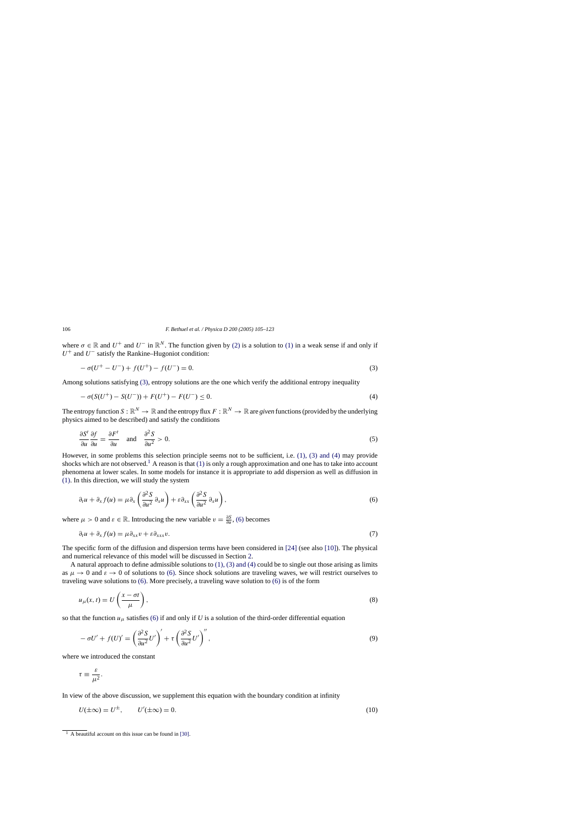where  $\sigma \in \mathbb{R}$  and  $U^+$  and  $U^-$  in  $\mathbb{R}^N$ . The function given by [\(2\)](#page-0-0) is a solution to [\(1\)](#page-0-0) in a weak sense if and only if  $U^+$  and  $U^-$  satisfy the Rankine–Hugoniot condition:

$$
-\sigma(U^+ - U^-) + f(U^+) - f(U^-) = 0.
$$
\n(3)

Among solutions satisfying (3), entropy solutions are the one which verify the additional entropy inequality

$$
- \sigma(S(U^+) - S(U^-)) + F(U^+) - F(U^-) \le 0.
$$
\n(4)

The entropy function  $S : \mathbb{R}^N \to \mathbb{R}$  and the entropy flux  $F : \mathbb{R}^N \to \mathbb{R}$  are *given* functions (provided by the underlying physics aimed to be described) and satisfy the conditions

$$
\frac{\partial S^t}{\partial u} \frac{\partial f}{\partial u} = \frac{\partial F^t}{\partial u} \quad \text{and} \quad \frac{\partial^2 S}{\partial u^2} > 0. \tag{5}
$$

However, in some problems this selection principle seems not to be sufficient, i.e. [\(1\), \(3\) and \(4\)](#page-0-0) may provide shocks which are not observed.<sup>1</sup> A reason is that [\(1\)](#page-0-0) is only a rough approximation and one has to take into account phenomena at lower scales. In some models for instance it is appropriate to add dispersion as well as diffusion in [\(1\).](#page-0-0) In this direction, we will study the system

$$
\partial_t u + \partial_x f(u) = \mu \partial_x \left( \frac{\partial^2 S}{\partial u^2} \partial_x u \right) + \varepsilon \partial_{xx} \left( \frac{\partial^2 S}{\partial u^2} \partial_x u \right), \tag{6}
$$

where  $\mu > 0$  and  $\varepsilon \in \mathbb{R}$ . Introducing the new variable  $v = \frac{\partial S}{\partial u}$ , (6) becomes

$$
\partial_t u + \partial_x f(u) = \mu \partial_{xx} v + \varepsilon \partial_{xxx} v. \tag{7}
$$

The specific form of the diffusion and dispersion terms have been considered in [\[24\]](#page-18-0) (see also [\[10\]\).](#page-17-0) The physical and numerical relevance of this model will be discussed in Section [2.](#page-5-0)

A natural approach to define admissible solutions to  $(1)$ ,  $(3)$  and  $(4)$  could be to single out those arising as limits as  $\mu \to 0$  and  $\varepsilon \to 0$  of solutions to (6). Since shock solutions are traveling waves, we will restrict ourselves to traveling wave solutions to (6). More precisely, a traveling wave solution to (6) is of the form

$$
u_{\mu}(x,t) = U\left(\frac{x-\sigma t}{\mu}\right),\tag{8}
$$

so that the function  $u_{\mu}$  satisfies (6) if and only if *U* is a solution of the third-order differential equation

$$
-\sigma U' + f(U)' = \left(\frac{\partial^2 S}{\partial u^2} U'\right)' + \tau \left(\frac{\partial^2 S}{\partial u^2} U'\right)'',\tag{9}
$$

where we introduced the constant

$$
\tau \equiv \frac{\varepsilon}{\mu^2}.
$$

In view of the above discussion, we supplement this equation with the boundary condition at infinity

$$
U(\pm \infty) = U^{\pm}, \qquad U'(\pm \infty) = 0. \tag{10}
$$

<span id="page-1-0"></span>

 $\frac{1}{1}$  A beautiful account on this issue can be found in [\[30\].](#page-18-0)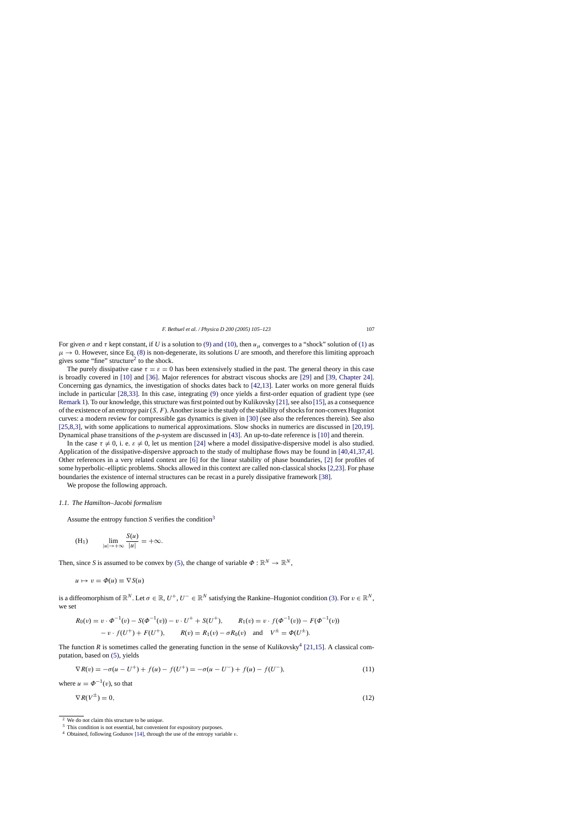<span id="page-2-0"></span>For given  $\sigma$  and  $\tau$  kept constant, if *U* is a solution to [\(9\) and \(10\),](#page-1-0) then  $u_{\mu}$  converges to a "shock" solution of [\(1\)](#page-0-0) as  $\mu \to 0$ . However, since Eq. [\(8\)](#page-1-0) is non-degenerate, its solutions *U* are smooth, and therefore this limiting approach gives some "fine" structure<sup>2</sup> to the shock.

The purely dissipative case  $\tau = \varepsilon = 0$  has been extensively studied in the past. The general theory in this case is broadly covered in [\[10\]](#page-17-0) and [\[36\].](#page-18-0) Major references for abstract viscous shocks are [\[29\]](#page-18-0) and [\[39, Chapter 24\].](#page-18-0) Concerning gas dynamics, the investigation of shocks dates back to [\[42,13\].](#page-18-0) Later works on more general fluids include in particular [\[28,33\].](#page-18-0) In this case, integrating [\(9\)](#page-1-0) once yields a first-order equation of gradient type (see [Remark 1\).](#page-3-0) To our knowledge, this structure was first pointed out by Kulikovsky [\[21\], s](#page-17-0)ee also [\[15\], a](#page-17-0)s a consequence of the existence of an entropy pair  $(S, F)$ . Another issue is the study of the stability of shocks for non-convex Hugoniot curves: a modern review for compressible gas dynamics is given in [\[30\]](#page-18-0) (see also the references therein). See also [\[25,8,3\],](#page-18-0) with some applications to numerical approximations. Slow shocks in numerics are discussed in [\[20,19\].](#page-17-0) Dynamical phase transitions of the *p*-system are discussed in [\[43\].](#page-18-0) An up-to-date reference is [\[10\]](#page-17-0) and therein.

In the case  $\tau \neq 0$ , i. e.  $\varepsilon \neq 0$ , let us mention [\[24\]](#page-18-0) where a model dissipative-dispersive model is also studied. Application of the dissipative-dispersive approach to the study of multiphase flows may be found in [\[40,41,37,4\].](#page-18-0) Other references in a very related context are [\[6\]](#page-17-0) for the linear stability of phase boundaries, [\[2\]](#page-17-0) for profiles of some hyperbolic–elliptic problems. Shocks allowed in this context are called non-classical shocks [\[2,23\]. F](#page-17-0)or phase boundaries the existence of internal structures can be recast in a purely dissipative framework [\[38\].](#page-18-0)

We propose the following approach.

## *1.1. The Hamilton–Jacobi formalism*

Assume the entropy function *S* verifies the condition3

(H<sub>1</sub>) 
$$
\lim_{|u| \to +\infty} \frac{S(u)}{|u|} = +\infty.
$$

Then, since *S* is assumed to be convex by [\(5\),](#page-1-0) the change of variable  $\Phi : \mathbb{R}^N \to \mathbb{R}^N$ .

$$
u \mapsto v = \Phi(u) \equiv \nabla S(u)
$$

is a diffeomorphism of  $\mathbb{R}^N$ . Let  $\sigma \in \mathbb{R}$ ,  $U^+, U^- \in \mathbb{R}^N$  satisfying the Rankine–Hugoniot condition [\(3\).](#page-1-0) For  $v \in \mathbb{R}^N$ , we set

$$
R_0(v) = v \cdot \Phi^{-1}(v) - S(\Phi^{-1}(v)) - v \cdot U^+ + S(U^+), \qquad R_1(v) = v \cdot f(\Phi^{-1}(v)) - F(\Phi^{-1}(v))
$$
  
- v \cdot f(U^+) + F(U^+), \qquad R(v) = R\_1(v) - \sigma R\_0(v) \quad \text{and} \quad V^{\pm} = \Phi(U^{\pm}).

The function *R* is sometimes called the generating function in the sense of Kulikovsky<sup>4</sup> [\[21,15\].](#page-17-0) A classical computation, based on [\(5\),](#page-1-0) yields

$$
\nabla R(v) = -\sigma(u - U^{+}) + f(u) - f(U^{+}) = -\sigma(u - U^{-}) + f(u) - f(U^{-}),
$$
\n(11)

where  $u = \Phi^{-1}(v)$ , so that

$$
\nabla R(V^{\pm}) = 0,\tag{12}
$$

<sup>2</sup> We do not claim this structure to be unique.

<sup>&</sup>lt;sup>3</sup> This condition is not essential, but convenient for expository purposes.

<sup>4</sup> Obtained, following Godunov [\[14\], t](#page-17-0)hrough the use of the entropy variable v.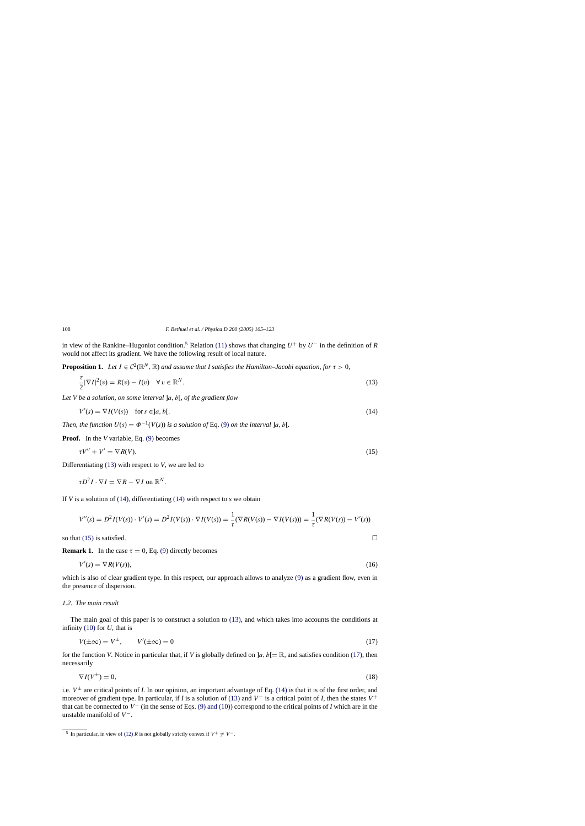in view of the Rankine–Hugoniot condition.<sup>5</sup> Relation [\(11\)](#page-2-0) shows that changing  $U^+$  by  $U^-$  in the definition of *R* would not affect its gradient. We have the following result of local nature.

**Proposition 1.** *Let*  $I \in C^2(\mathbb{R}^N, \mathbb{R})$  *and assume that I satisfies the Hamilton–Jacobi equation, for*  $\tau > 0$ ,

$$
\frac{\tau}{2}|\nabla I|^2(v) = R(v) - I(v) \quad \forall \, v \in \mathbb{R}^N.
$$
\n
$$
(13)
$$

*Let V be a solution, on some interval* ]a, b[, *of the gradient flow*

$$
V'(s) = \nabla I(V(s)) \quad \text{for } s \in ]a, b[.
$$
 (14)

*Then, the function*  $U(s) = \Phi^{-1}(V(s))$  *is a solution of* Eq. [\(9\)](#page-1-0) *on the interval*  $]a, b[$ *.* 

**Proof.** In the *V* variable, Eq. [\(9\)](#page-1-0) becomes

$$
\tau V'' + V' = \nabla R(V). \tag{15}
$$

Differentiating (13) with respect to *V*, we are led to

 $\tau D^2 I \cdot \nabla I = \nabla R - \nabla I$  on  $\mathbb{R}^N$ .

If *V* is a solution of (14), differentiating (14) with respect to *s* we obtain

$$
V''(s) = D^2 I(V(s)) \cdot V'(s) = D^2 I(V(s)) \cdot \nabla I(V(s)) = \frac{1}{\tau} (\nabla R(V(s)) - \nabla I(V(s))) = \frac{1}{\tau} (\nabla R(V(s)) - V'(s))
$$

so that (15) is satisfied.

**Remark 1.** In the case  $\tau = 0$ , Eq. [\(9\)](#page-1-0) directly becomes

$$
V'(s) = \nabla R(V(s)),\tag{16}
$$

which is also of clear gradient type. In this respect, our approach allows to analyze [\(9\)](#page-1-0) as a gradient flow, even in the presence of dispersion.

## *1.2. The main result*

The main goal of this paper is to construct a solution to (13), and which takes into accounts the conditions at infinity [\(10\)](#page-1-0) for *U*, that is

$$
V(\pm \infty) = V^{\pm}, \qquad V'(\pm \infty) = 0 \tag{17}
$$

for the function *V*. Notice in particular that, if *V* is globally defined on  $[a, b] = \mathbb{R}$ , and satisfies condition (17), then necessarily

$$
\nabla I(V^{\pm}) = 0,\tag{18}
$$

i.e.  $V^{\pm}$  are critical points of *I*. In our opinion, an important advantage of Eq. (14) is that it is of the first order, and moreover of gradient type. In particular, if *I* is a solution of (13) and  $V^-$  is a critical point of *I*, then the states  $V^+$ that can be connected to  $V^-$  (in the sense of Eqs. [\(9\) and \(10\)\)](#page-1-0) correspond to the critical points of *I* which are in the unstable manifold of  $V^-$ .

<span id="page-3-0"></span>

<sup>&</sup>lt;sup>5</sup> In particular, in view of [\(12\)](#page-2-0) *R* is not globally strictly convex if  $V^+ \neq V^-$ .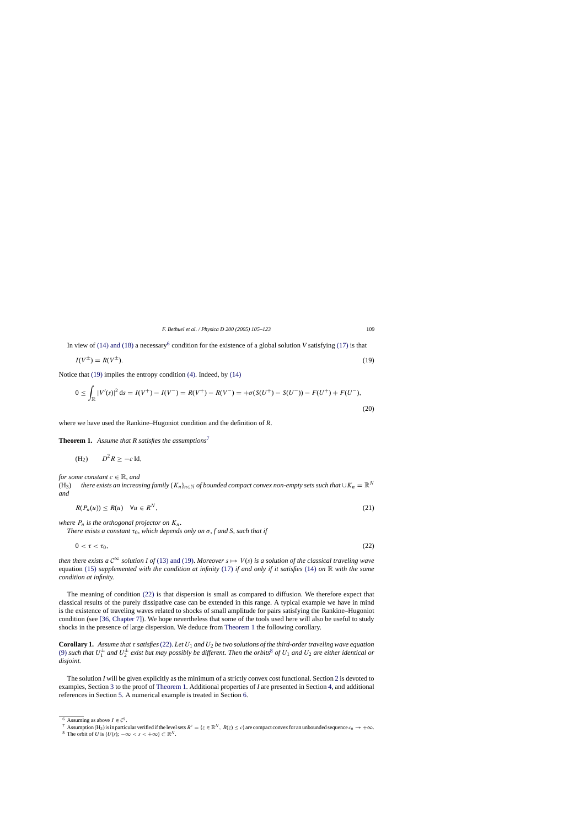<span id="page-4-0"></span>In view of [\(14\) and \(18\)](#page-3-0) a necessary<sup>6</sup> condition for the existence of a global solution *V* satisfying [\(17\)](#page-3-0) is that

$$
I(V^{\pm}) = R(V^{\pm}).\tag{19}
$$

Notice that (19) implies the entropy condition [\(4\).](#page-1-0) Indeed, by [\(14\)](#page-3-0)

$$
0 \le \int_{\mathbb{R}} |V'(s)|^2 \, ds = I(V^+) - I(V^-) = R(V^+) - R(V^-) = +\sigma(S(U^+) - S(U^-)) - F(U^+) + F(U^-),\tag{20}
$$

where we have used the Rankine–Hugoniot condition and the definition of *R*.

**Theorem 1.** Assume that R satisfies the assumptions<sup>7</sup>

$$
(H_2) \qquad D^2 R \geq -c \operatorname{Id},
$$

*for some constant*  $c \in \mathbb{R}$ *, and* 

(H<sub>3</sub>) *there exists an increasing family* { $K_n$ }<sub>n∈N</sub> *of bounded compact convex non-empty sets such that*  $\cup K_n = \mathbb{R}^N$ *and*

$$
R(P_n(u)) \le R(u) \quad \forall u \in R^N,
$$
\n<sup>(21)</sup>

*where*  $P_n$  *is the orthogonal projector on*  $K_n$ .

*There exists a constant*  $\tau_0$ *, which depends only on*  $\sigma$ *, f and S, such that if* 

$$
0 < \tau < \tau_0,\tag{22}
$$

*then there exists a*  $C^{\infty}$  *solution I of* [\(13\) and \(19\).](#page-3-0) *Moreover*  $s \mapsto V(s)$  *is a solution of the classical traveling wave* equation [\(15\)](#page-3-0) *supplemented with the condition at infinity* [\(17\)](#page-3-0) *if and only if it satisfies* [\(14\)](#page-3-0) *on* R *with the same condition at infinity.*

The meaning of condition (22) is that dispersion is small as compared to diffusion. We therefore expect that classical results of the purely dissipative case can be extended in this range. A typical example we have in mind is the existence of traveling waves related to shocks of small amplitude for pairs satisfying the Rankine–Hugoniot condition (see [\[36, Chapter 7\]\).](#page-18-0) We hope nevertheless that some of the tools used here will also be useful to study shocks in the presence of large dispersion. We deduce from Theorem 1 the following corollary.

**Corollary 1.** *Assume that* τ *satisfies*(22). *Let* U<sup>1</sup> *and* U<sup>2</sup> *be two solutions of the third-order traveling wave equation* [\(9\)](#page-1-0) such that  $U_1^{\pm}$  and  $U_2^{\pm}$  exist but may possibly be different. Then the orbits<sup>8</sup> of  $U_1$  and  $U_2$  are either identical or *disjoint.*

The solution *I* will be given explicitly as the minimum of a strictly convex cost functional. Section [2](#page-5-0) is devoted to examples, Section [3](#page-7-0) to the proof of Theorem 1. Additional properties of *I* are presented in Section [4, a](#page-12-0)nd additional references in Section [5. A](#page-13-0) numerical example is treated in Section [6.](#page-13-0)

<sup>&</sup>lt;sup>6</sup> Assuming as above  $I \in \mathcal{C}^2$ .

<sup>7</sup> Assumption (H<sub>3</sub>) is in particular verified if the level sets  $R^c = \{z \in \mathbb{R}^N, R(z) \le c\}$  are compact convex for an unbounded sequence  $c_n \to +\infty$ .<br><sup>8</sup> The orbit of *U* is {*U*(s); −∞ < s < +∞} ⊂  $\mathbb{R}^N$ .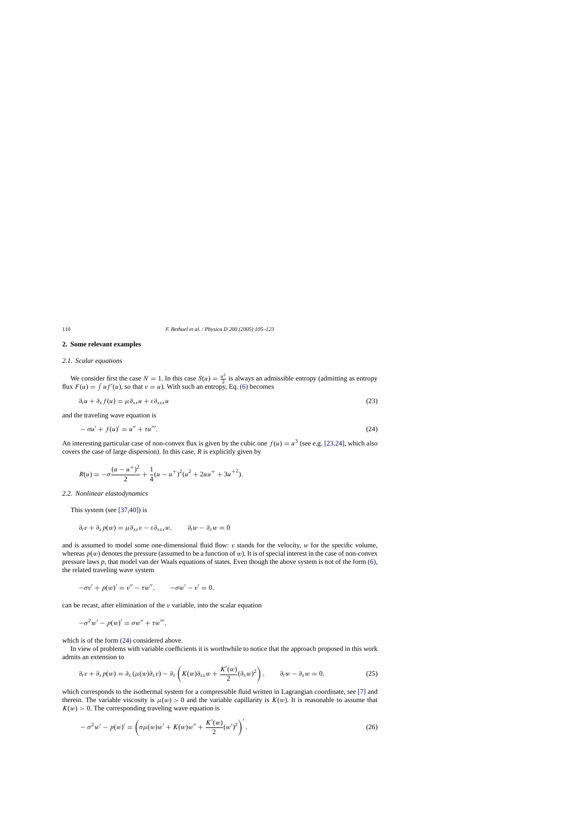## **2. Some relevant examples**

## *2.1. Scalar equations*

We consider first the case  $N = 1$ . In this case  $S(u) = \frac{u^2}{2}$  is always an admissible entropy (admitting as entropy flux  $F(u) = \int u f'(u)$ , so that  $v = u$ ). With such an entropy, Eq. [\(6\)](#page-1-0) becomes

$$
\partial_t u + \partial_x f(u) = \mu \partial_{xx} u + \varepsilon \partial_{xxx} u \tag{23}
$$

and the traveling wave equation is

$$
-\sigma u' + f(u)' = u'' + \tau u'''.
$$
\n(24)

An interesting particular case of non-convex flux is given by the cubic one  $f(u) = u^3$  (see e.g. [\[23,24\],](#page-18-0) which also covers the case of large dispersion). In this case, *R* is explicitly given by

$$
R(u) = -\sigma \frac{(u - u^{+})^{2}}{2} + \frac{1}{4}(u - u^{+})^{2}(u^{2} + 2uu^{+} + 3u^{+2}).
$$

#### *2.2. Nonlinear elastodynamics*

This system (see [\[37,40\]\)](#page-18-0) is

$$
\partial_t v + \partial_x p(w) = \mu \partial_{xx} v - \varepsilon \partial_{xxx} w, \qquad \partial_t w - \partial_x w = 0
$$

and is assumed to model some one-dimensional fluid flow:  $v$  stands for the velocity,  $w$  for the specific volume, whereas  $p(w)$  denotes the pressure (assumed to be a function of w). It is of special interest in the case of non-convex pressure laws *p*, that model van der Waals equations of states. Even though the above system is not of the form [\(6\),](#page-1-0) the related traveling wave system

$$
-\sigma v' + p(w)' = v'' - \tau w'', \qquad -\sigma w' - v' = 0,
$$

can be recast, after elimination of the  $v$  variable, into the scalar equation

$$
-\sigma^2 w' - p(w)' = \sigma w'' + \tau w'''
$$

which is of the form  $(24)$  considered above.

In view of problems with variable coefficients it is worthwhile to notice that the approach proposed in this work admits an extension to

$$
\partial_t v + \partial_x p(w) = \partial_x (\mu(w)\partial_x v) - \partial_x \left( K(w)\partial_{xx} w + \frac{K'(w)}{2} (\partial_x w)^2 \right), \qquad \partial_t w - \partial_x w = 0,
$$
 (25)

which corresponds to the isothermal system for a compressible fluid written in Lagrangian coordinate, see [\[7\]](#page-17-0) and therein. The variable viscosity is  $\mu(w) > 0$  and the variable capillarity is  $K(w)$ . It is reasonable to assume that  $K(w) > 0$ . The corresponding traveling wave equation is

$$
-\sigma^{2}w'-p(w)' = \left(\sigma\mu(w)w' + K(w)w'' + \frac{K'(w)}{2}(w')^{2}\right)',
$$
\n(26)

<span id="page-5-0"></span>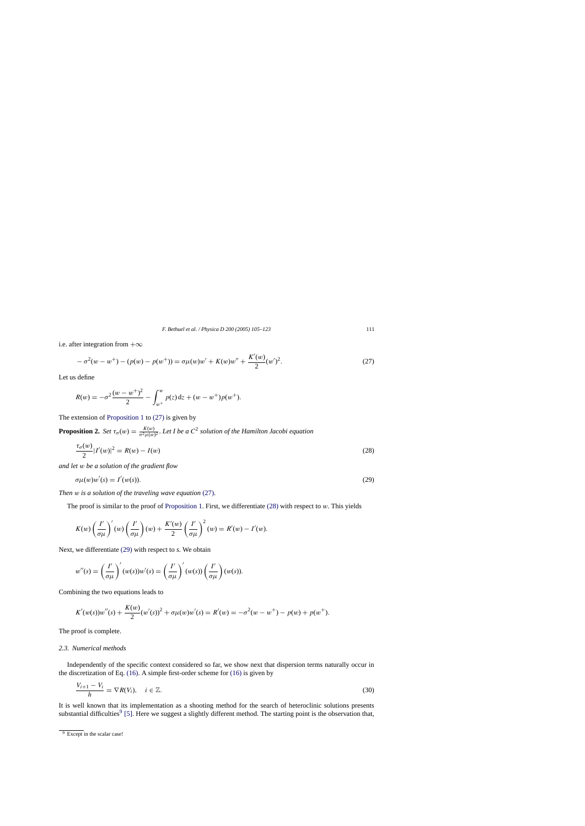<span id="page-6-0"></span>i.e. after integration from  $+\infty$ 

$$
-\sigma^{2}(w-w^{+}) - (p(w) - p(w^{+})) = \sigma\mu(w)w' + K(w)w'' + \frac{K'(w)}{2}(w')^{2}.
$$
\n(27)

Let us define

$$
R(w) = -\sigma^2 \frac{(w - w^+)^2}{2} - \int_{w^+}^w p(z) dz + (w - w^+) p(w^+).
$$

The extension of [Proposition 1](#page-3-0) to (27) is given by

**Proposition 2.** *Set*  $\tau_{\sigma}(w) = \frac{K(w)}{\sigma^2 \mu(w)^2}$ . Let I be a  $C^2$  solution of the Hamilton Jacobi equation

$$
\frac{\tau_{\sigma}(w)}{2}|I'(w)|^2 = R(w) - I(w)
$$
\n(28)

*and let* w *be a solution of the gradient flow*

$$
\sigma\mu(w)w'(s) = I'(w(s)).\tag{29}
$$

*Then* w *is a solution of the traveling wave equation* (27).

The proof is similar to the proof of [Proposition 1.](#page-3-0) First, we differentiate  $(28)$  with respect to w. This yields

$$
K(w)\left(\frac{I'}{\sigma\mu}\right)'(w)\left(\frac{I'}{\sigma\mu}\right)(w)+\frac{K'(w)}{2}\left(\frac{I'}{\sigma\mu}\right)^2(w)=R'(w)-I'(w).
$$

Next, we differentiate (29) with respect to *s*. We obtain

$$
w''(s) = \left(\frac{I'}{\sigma\mu}\right)'(w(s))w'(s) = \left(\frac{I'}{\sigma\mu}\right)'(w(s))\left(\frac{I'}{\sigma\mu}\right)(w(s)).
$$

Combining the two equations leads to

$$
K'(w(s))w''(s) + \frac{K(w)}{2}(w'(s))^2 + \sigma\mu(w)w'(s) = R'(w) = -\sigma^2(w - w^+) - p(w) + p(w^+).
$$

The proof is complete.

## *2.3. Numerical methods*

Independently of the specific context considered so far, we show next that dispersion terms naturally occur in the discretization of Eq. [\(16\). A](#page-3-0) simple first-order scheme for [\(16\)](#page-3-0) is given by

$$
\frac{V_{i+1} - V_i}{h} = \nabla R(V_i), \quad i \in \mathbb{Z}.
$$
\n(30)

It is well known that its implementation as a shooting method for the search of heteroclinic solutions presents substantial difficulties<sup>9</sup> [\[5\]. H](#page-17-0)ere we suggest a slightly different method. The starting point is the observation that,

<sup>&</sup>lt;sup>9</sup> Except in the scalar case!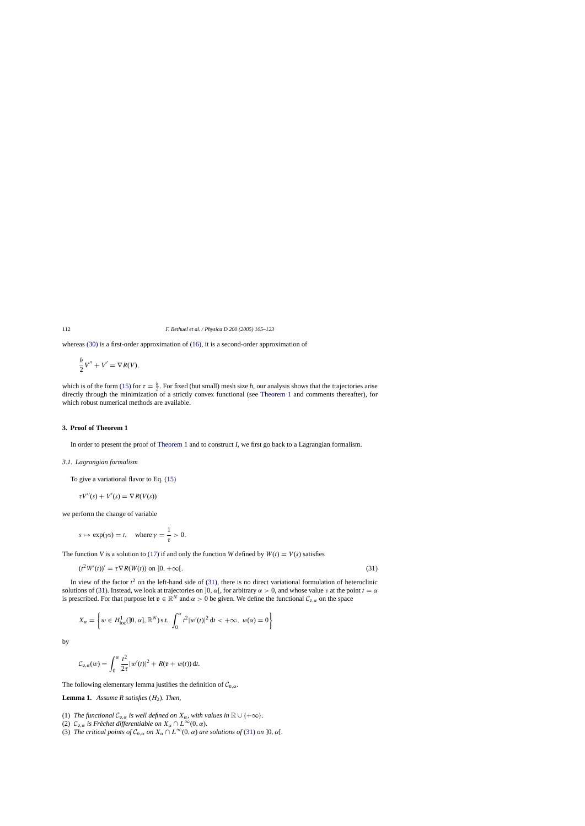<span id="page-7-0"></span>whereas [\(30\)](#page-6-0) is a first-order approximation of [\(16\),](#page-3-0) it is a second-order approximation of

$$
\frac{h}{2}V'' + V' = \nabla R(V),
$$

which is of the form [\(15\)](#page-3-0) for  $\tau = \frac{h}{2}$ . For fixed (but small) mesh size *h*, our analysis shows that the trajectories arise directly through the minimization of a strictly convex functional (see [Theorem 1](#page-4-0) and comments thereafter), for which robust numerical methods are available.

## **3. Proof of Theorem 1**

In order to present the proof of [Theorem 1](#page-4-0) and to construct *I*, we first go back to a Lagrangian formalism.

## *3.1. Lagrangian formalism*

To give a variational flavor to Eq. [\(15\)](#page-3-0)

$$
\tau V''(s) + V'(s) = \nabla R(V(s))
$$

we perform the change of variable

$$
s \mapsto \exp(\gamma s) = t
$$
, where  $\gamma = \frac{1}{\tau} > 0$ .

The function *V* is a solution to [\(17\)](#page-3-0) if and only the function *W* defined by  $W(t) = V(s)$  satisfies

$$
(t^2W'(t))' = \tau \nabla R(W(t)) \text{ on } ]0, +\infty[.
$$
\n(31)

In view of the factor  $t^2$  on the left-hand side of (31), there is no direct variational formulation of heteroclinic solutions of (31). Instead, we look at trajectories on  $]0, \alpha[$ , for arbitrary  $\alpha > 0$ , and whose value v at the point  $t = \alpha$ is prescribed. For that purpose let  $v \in \mathbb{R}^N$  and  $\alpha > 0$  be given. We define the functional  $\mathcal{C}_{v,\alpha}$  on the space

$$
X_{\alpha} = \left\{ w \in H_{loc}^{1}(]0, \alpha], \mathbb{R}^{N} \text{ s.t. } \int_{0}^{\alpha} t^{2} |w'(t)|^{2} \, \mathrm{d}t < +\infty, \ w(\alpha) = 0 \right\}
$$

by

$$
\mathcal{C}_{\mathfrak{v},\alpha}(w) = \int_0^\alpha \frac{t^2}{2\tau} |w'(t)|^2 + R(\mathfrak{v} + w(t)) dt.
$$

The following elementary lemma justifies the definition of  $C_{p,q}$ .

**Lemma 1.** *Assume R satisfies* (H2). *Then*,

- (1) *The functional*  $C_{\mathfrak{v},\alpha}$  *is well defined on*  $X_{\alpha}$ *, with values in*  $\mathbb{R} \cup \{+\infty\}$ *.*
- (2)  $C_{p,q}$  *is Fréchet differentiable on*  $X_\alpha \cap L^\infty(0, \alpha)$ .
- (3) *The critical points of*  $C_{\mathfrak{v},\alpha}$  *on*  $X_\alpha \cap L^\infty(0,\alpha)$  *are solutions of* (31) *on* ]0,  $\alpha$ [.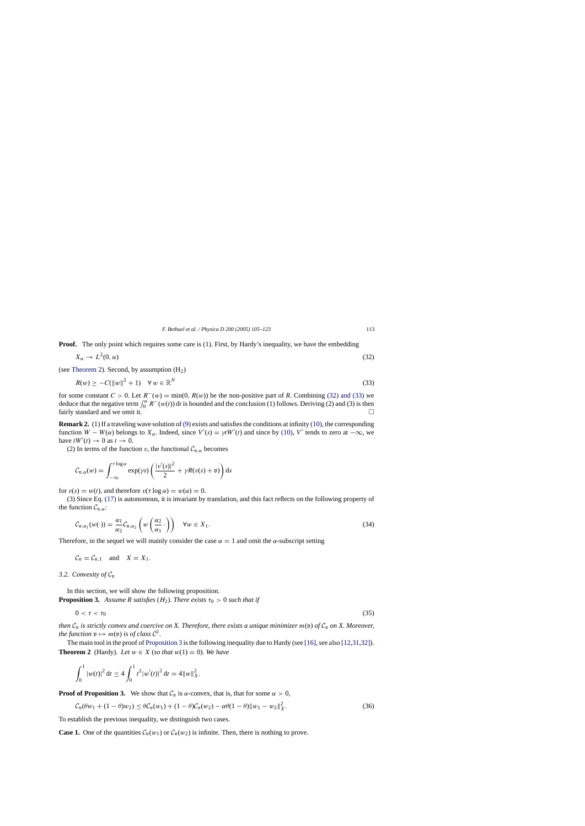<span id="page-8-0"></span>**Proof.** The only point which requires some care is (1). First, by Hardy's inequality, we have the embedding

$$
X_{\alpha} \to L^2(0, \alpha) \tag{32}
$$

(see Theorem 2). Second, by assumption  $(H<sub>2</sub>)$ 

$$
R(w) \geq -C(||w||^2 + 1) \quad \forall w \in \mathbb{R}^N
$$
\n
$$
(33)
$$

for some constant  $C > 0$ . Let  $R^-(w) = \min(0, R(w))$  be the non-positive part of R. Combining (32) and (33) we deduce that the negative term  $\int_0^{\alpha} R^{-}(w(t)) dt$  is bounded and the conclusion (1) follows. Deriving (2) and (3) is then fairly standard and we omit it.

**Remark 2.** (1) If a traveling wave solution of [\(9\)](#page-1-0) exists and satisfies the conditions at infinity [\(10\), t](#page-1-0)he corresponding function  $W - W(\alpha)$  belongs to  $X_{\alpha}$ . Indeed, since  $V'(s) = \gamma t W'(t)$  and since by [\(10\),](#page-1-0) V' tends to zero at  $-\infty$ , we have  $tW'(t) \to 0$  as  $t \to 0$ .

(2) In terms of the function v, the functional  $C_{\mathfrak{v},\alpha}$  becomes

$$
C_{\mathfrak{v},\alpha}(w) = \int_{-\infty}^{\tau \log \alpha} \exp(\gamma s) \left( \frac{|v'(s)|^2}{2} + \gamma R(v(s) + \mathfrak{v}) \right) ds
$$

for  $v(s) = w(t)$ , and therefore  $v(\tau \log \alpha) = w(\alpha) = 0$ .

(3) Since Eq. [\(17\)](#page-3-0) is autonomous, it is invariant by translation, and this fact reflects on the following property of the function  $C_{\mathfrak{v},\alpha}$ :

$$
C_{\mathfrak{v},\alpha_1}(w(\cdot)) = \frac{\alpha_1}{\alpha_2} C_{\mathfrak{v},\alpha_2} \left( w \left( \frac{\alpha_2}{\alpha_1} \cdot \right) \right) \quad \forall w \in X_1.
$$
\n
$$
(34)
$$

Therefore, in the sequel we will mainly consider the case  $\alpha = 1$  and omit the  $\alpha$ -subscript setting

$$
C_{\mathfrak{v}} = C_{\mathfrak{v},1}
$$
 and  $X = X_1$ .

## 3.2. Convexity of  $C_p$

In this section, we will show the following proposition. **Proposition 3.** Assume R satisfies  $(H_2)$ . *There exists*  $\tau_0 > 0$  *such that if* 

$$
0 < \tau < \tau_0 \tag{35}
$$

*then*  $C_p$  *is strictly convex and coercive on X. Therefore, there exists a unique minimizer*  $m(\mathfrak{v})$  *of*  $C_p$  *on X. Moreover, the function*  $v \mapsto m(v)$  *is of class*  $C^2$ .

The main tool in the proof of Proposition 3 is the following inequality due to Hardy (see [\[16\], s](#page-17-0)ee also [\[12,31,32\]\).](#page-17-0) **Theorem 2** (Hardy). *Let*  $w \in X$  (*so that*  $w(1) = 0$ ). *We have* 

$$
\int_0^1 |w(t)|^2 dt \le 4 \int_0^1 t^2 |w'(t)|^2 dt = 4 ||w||_X^2.
$$

**Proof of Proposition 3.** We show that  $C_p$  is  $\alpha$ -convex, that is, that for some  $\alpha > 0$ ,

$$
\mathcal{C}_{\mathfrak{v}}(\theta w_1 + (1 - \theta)w_2) \leq \theta \mathcal{C}_{\mathfrak{v}}(w_1) + (1 - \theta)\mathcal{C}_{\mathfrak{v}}(w_2) - \alpha\theta(1 - \theta) \|w_1 - w_2\|_X^2.
$$
\n
$$
(36)
$$

To establish the previous inequality, we distinguish two cases.

**Case 1.** One of the quantities  $\mathcal{C}_{\mathfrak{v}}(w_1)$  or  $\mathcal{C}_{\mathfrak{v}}(w_2)$  is infinite. Then, there is nothing to prove.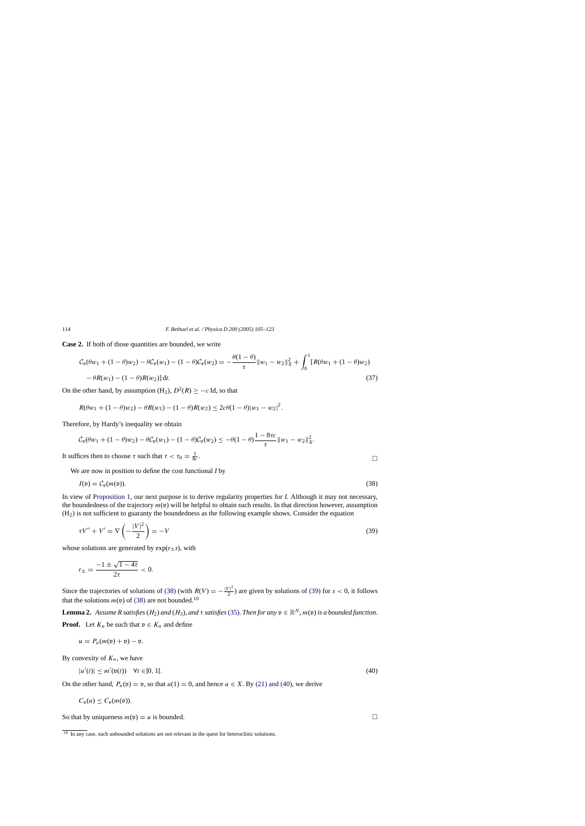**Case 2.** If both of those quantities are bounded, we write

$$
\mathcal{C}_{\mathfrak{v}}(\theta w_1 + (1 - \theta)w_2) - \theta \mathcal{C}_{\mathfrak{v}}(w_1) - (1 - \theta)\mathcal{C}_{\mathfrak{v}}(w_2) = -\frac{\theta(1 - \theta)}{\tau} \|w_1 - w_2\|_X^2 + \int_0^1 [R(\theta w_1 + (1 - \theta)w_2) - \theta R(w_1) - (1 - \theta)R(w_2)] dt.
$$
\n(37)

On the other hand, by assumption (H<sub>2</sub>),  $D^2(R) \ge -c$  Id, so that

$$
R(\theta w_1 + (1 - \theta)w_2) - \theta R(w_1) - (1 - \theta)R(w_2) \le 2c\theta(1 - \theta)|w_1 - w_2|^2.
$$

Therefore, by Hardy's inequality we obtain

$$
C_{\mathfrak{v}}(\theta w_1 + (1 - \theta)w_2) - \theta C_{\mathfrak{v}}(w_1) - (1 - \theta)C_{\mathfrak{v}}(w_2) \le -\theta(1 - \theta)\frac{1 - 8\tau c}{\tau} \|w_1 - w_2\|_X^2.
$$

It suffices then to choose  $\tau$  such that  $\tau < \tau_0 = \frac{1}{8c}$ .  $\frac{1}{8c}$ .

We are now in position to define the cost functional *I* by

$$
I(\mathfrak{v}) = \mathcal{C}_{\mathfrak{v}}(m(\mathfrak{v})).\tag{38}
$$

In view of [Proposition 1,](#page-3-0) our next purpose is to derive regularity properties for *I*. Although it may not necessary, the boundedness of the trajectory  $m(v)$  will be helpful to obtain such results. In that direction however, assumption  $(H<sub>2</sub>)$  is not sufficient to guaranty the boundedness as the following example shows. Consider the equation

$$
\tau V'' + V' = \nabla \left( -\frac{|V|^2}{2} \right) = -V \tag{39}
$$

whose solutions are generated by  $exp(r+s)$ , with

$$
r_{\pm} = \frac{-1 \pm \sqrt{1 - 4\tau}}{2\tau} < 0.
$$

Since the trajectories of solutions of (38) (with  $R(V) = -\frac{|V|^2}{2}$ ) are given by solutions of (39) for  $s < 0$ , it follows that the solutions  $m(\mathfrak{v})$  of (38) are not bounded.<sup>10</sup>

**Lemma 2.** *Assume R satisfies* ( $H_2$ ) *and* ( $H_3$ ), *and*  $\tau$  *satisfies* [\(35\).](#page-8-0) *Then for any*  $v \in \mathbb{R}^N$ ,  $m(v)$  *is a bounded function.* **Proof.** Let  $K_n$  be such that  $v \in K_n$  and define

$$
u = P_n(m(\mathfrak{v}) + \mathfrak{v}) - \mathfrak{v}.
$$

By convexity of  $K_n$ , we have

$$
|u'(t)| \le m'(\mathfrak{v}(t)) \quad \forall t \in ]0, 1[.
$$
\n
$$
(40)
$$

On the other hand,  $P_n(\mathfrak{v}) = \mathfrak{v}$ , so that  $u(1) = 0$ , and hence  $u \in X$ . By [\(21\) and \(40\), w](#page-4-0)e derive

$$
C_{\mathfrak{v}}(u) \leq C_{\mathfrak{v}}(m(\mathfrak{v})).
$$

So that by uniqueness  $m(\mathfrak{v}) = u$  is bounded.

<span id="page-9-0"></span>

 $\frac{10 \text{ In any case, such unbounded solutions are not relevant in the quest for heteroclinic solutions.}$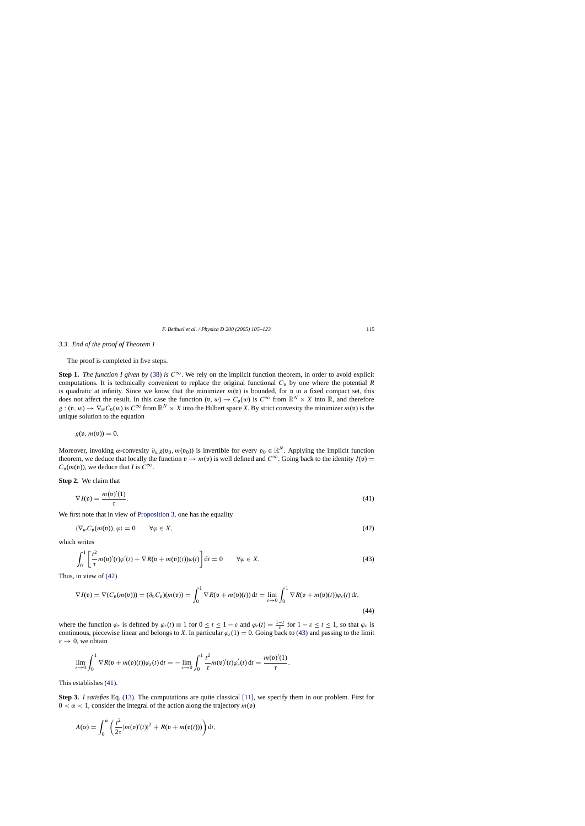<span id="page-10-0"></span>The proof is completed in five steps.

**Step 1.** *The function I given by* [\(38\)](#page-9-0) *is*  $C^{\infty}$ . We rely on the implicit function theorem, in order to avoid explicit computations. It is technically convenient to replace the original functional  $C_p$  by one where the potential  $R$ is quadratic at infinity. Since we know that the minimizer  $m(v)$  is bounded, for v in a fixed compact set, this does not affect the result. In this case the function  $(v, w) \to C_v(w)$  is  $C^{\infty}$  from  $\mathbb{R}^N \times X$  into  $\mathbb{R}$ , and therefore  $g : (v, w) \to \nabla_w C_v(w)$  is  $C^{\infty}$  from  $\mathbb{R}^N \times X$  into the Hilbert space *X*. By strict convexity the minimizer  $m(v)$  is the unique solution to the equation

 $g(\mathfrak{v}, m(\mathfrak{v})) = 0.$ 

Moreover, invoking  $\alpha$ -convexity  $\partial_w g(v_0, m(v_0))$  is invertible for every  $v_0 \in \mathbb{R}^N$ . Applying the implicit function theorem, we deduce that locally the function  $v \to m(v)$  is well defined and  $C^{\infty}$ . Going back to the identity  $I(v)$  =  $C_n(m(\mathfrak{v}))$ , we deduce that *I* is  $C^{\infty}$ .

**Step 2.** We claim that

$$
\nabla I(\mathfrak{v}) = \frac{m(\mathfrak{v})'(1)}{\tau}.
$$
\n(41)

We first note that in view of [Proposition 3,](#page-8-0) one has the equality

$$
\langle \nabla_w C_{\mathfrak{v}}(m(\mathfrak{v})), \varphi \rangle = 0 \qquad \forall \varphi \in X,\tag{42}
$$

which writes

$$
\int_0^1 \left[ \frac{t^2}{\tau} m(\mathfrak{v})'(t) \varphi'(t) + \nabla R(\mathfrak{v} + m(\mathfrak{v})(t)) \varphi(t) \right] dt = 0 \qquad \forall \varphi \in X.
$$
 (43)

Thus, in view of (42)

$$
\nabla I(\mathfrak{v}) = \nabla (C_{\mathfrak{v}}(m(\mathfrak{v}))) = (\partial_{\mathfrak{v}} C_{\mathfrak{v}})(m(\mathfrak{v})) = \int_0^1 \nabla R(\mathfrak{v} + m(\mathfrak{v})(t)) dt = \lim_{\varepsilon \to 0} \int_0^1 \nabla R(\mathfrak{v} + m(\mathfrak{v})(t)) \varphi_{\varepsilon}(t) dt,
$$
\n(44)

where the function  $\varphi_{\varepsilon}$  is defined by  $\varphi_{\varepsilon}(t) \equiv 1$  for  $0 \le t \le 1 - \varepsilon$  and  $\varphi_{\varepsilon}(t) = \frac{1-t}{\varepsilon}$  for  $1 - \varepsilon \le t \le 1$ , so that  $\varphi_{\varepsilon}$  is continuous, piecewise linear and belongs to *X*. In particular  $\varphi_{\varepsilon}(1) = 0$ . Going back to (43) and passing to the limit  $\varepsilon \to 0$ , we obtain

$$
\lim_{\varepsilon\to 0}\int_0^1 \nabla R(\mathfrak{v}+m(\mathfrak{v})(t))\varphi_{\varepsilon}(t) dt = -\lim_{\varepsilon\to 0}\int_0^1 \frac{t^2}{\tau}m(\mathfrak{v})'(t)\varphi_{\varepsilon}'(t) dt = \frac{m(\mathfrak{v})'(1)}{\tau}.
$$

This establishes (41).

**Step 3.** *I satisfies* Eq. [\(13\).](#page-3-0) The computations are quite classical [\[11\],](#page-17-0) we specify them in our problem. First for  $0 < \alpha < 1$ , consider the integral of the action along the trajectory  $m(\mathfrak{v})$ 

$$
A(\alpha) = \int_0^{\alpha} \left( \frac{t^2}{2\tau} |m(\mathfrak{v})'(t)|^2 + R(\mathfrak{v} + m(\mathfrak{v}(t))) \right) dt,
$$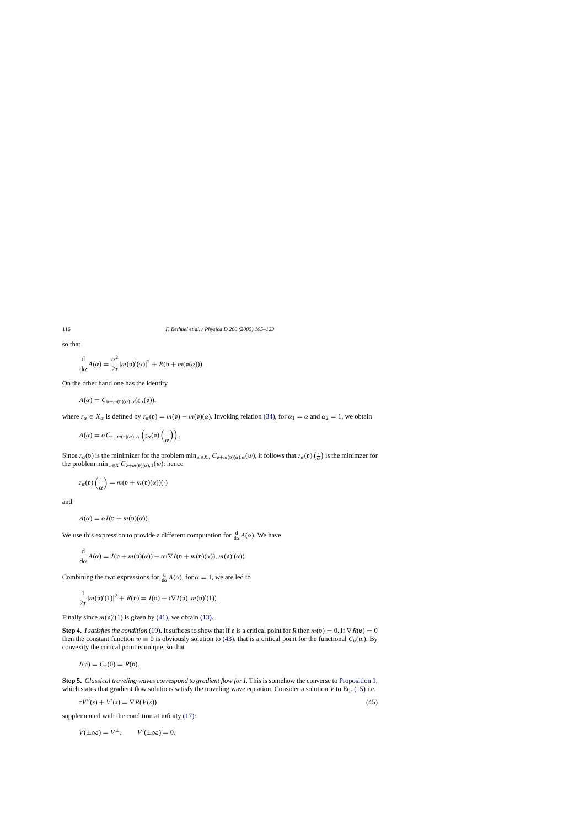so that

$$
\frac{\mathrm{d}}{\mathrm{d}\alpha}A(\alpha) = \frac{\alpha^2}{2\tau}|m(\mathfrak{v})'(\alpha)|^2 + R(\mathfrak{v} + m(\mathfrak{v}(\alpha))).
$$

On the other hand one has the identity

$$
A(\alpha) = C_{\mathfrak{v}+m(\mathfrak{v})(\alpha),\alpha}(z_{\alpha}(\mathfrak{v})),
$$

where  $z_\alpha \in X_\alpha$  is defined by  $z_\alpha(\mathfrak{v}) = m(\mathfrak{v}) - m(\mathfrak{v})(\alpha)$ . Invoking relation [\(34\), f](#page-8-0)or  $\alpha_1 = \alpha$  and  $\alpha_2 = 1$ , we obtain

$$
A(\alpha) = \alpha C_{\mathfrak{v} + m(\mathfrak{v})(\alpha), A} \left( z_{\alpha}(\mathfrak{v}) \left( \frac{\cdot}{\alpha} \right) \right).
$$

Since  $z_\alpha(\mathfrak{v})$  is the minimizer for the problem  $\min_{w \in X_\alpha} C_{\mathfrak{v}+m(\mathfrak{v})(\alpha),\alpha}(w)$ , it follows that  $z_\alpha(\mathfrak{v})\left(\frac{1}{\alpha}\right)$  is the minimzer for the problem  $\min_{w \in X} C_{\mathfrak{v}+m(\mathfrak{v})(\alpha),1}(w)$ : hence

$$
z_{\alpha}(\mathfrak{v})\left(\frac{\cdot}{\alpha}\right) = m(\mathfrak{v} + m(\mathfrak{v})(\alpha))(\cdot)
$$

and

$$
A(\alpha) = \alpha I(\mathfrak{v} + m(\mathfrak{v})(\alpha)).
$$

We use this expression to provide a different computation for  $\frac{d}{d\alpha}A(\alpha)$ . We have

$$
\frac{\mathrm{d}}{\mathrm{d}\alpha}A(\alpha) = I(\mathfrak{v} + m(\mathfrak{v})(\alpha)) + \alpha \langle \nabla I(\mathfrak{v} + m(\mathfrak{v})(\alpha)), m(\mathfrak{v})'(\alpha) \rangle.
$$

Combining the two expressions for  $\frac{d}{d\alpha}A(\alpha)$ , for  $\alpha = 1$ , we are led to

$$
\frac{1}{2\tau}|m(\mathfrak{v})'(1)|^2 + R(\mathfrak{v}) = I(\mathfrak{v}) + \langle \nabla I(\mathfrak{v}), m(\mathfrak{v})'(1) \rangle.
$$

Finally since  $m(\nu)'(1)$  is given by [\(41\), w](#page-10-0)e obtain [\(13\).](#page-3-0)

**Step 4.** *I satisfies the condition* [\(19\). I](#page-4-0)t suffices to show that if v is a critical point for *R* then  $m(v) = 0$ . If  $\nabla R(v) = 0$ then the constant function  $w \equiv 0$  is obviously solution to [\(43\),](#page-10-0) that is a critical point for the functional  $C_v(w)$ . By convexity the critical point is unique, so that

$$
I(\mathfrak{v})=C_{\mathfrak{v}}(0)=R(\mathfrak{v}).
$$

**Step 5.** *Classical traveling waves correspond to gradient flow for I*. This is somehow the converse to [Proposition 1,](#page-3-0) which states that gradient flow solutions satisfy the traveling wave equation. Consider a solution *V* to Eq. [\(15\)](#page-3-0) i.e.

$$
\tau V''(s) + V'(s) = \nabla R(V(s))\tag{45}
$$

supplemented with the condition at infinity  $(17)$ :

$$
V(\pm \infty) = V^{\pm}, \qquad V'(\pm \infty) = 0.
$$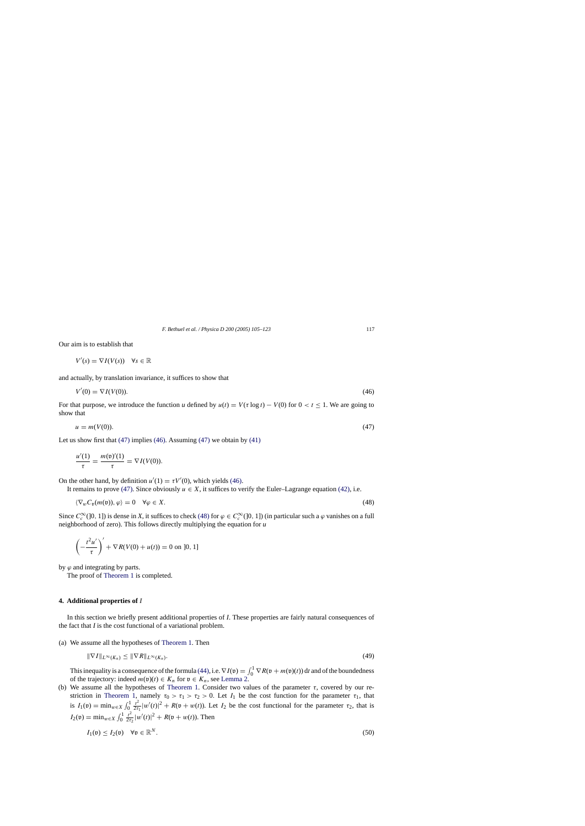<span id="page-12-0"></span>Our aim is to establish that

$$
V'(s) = \nabla I(V(s)) \quad \forall s \in \mathbb{R}
$$

and actually, by translation invariance, it suffices to show that

$$
V'(0) = \nabla I(V(0)).\tag{46}
$$

For that purpose, we introduce the function *u* defined by  $u(t) = V(\tau \log t) - V(0)$  for  $0 < t \le 1$ . We are going to show that

$$
u = m(V(0)).\tag{47}
$$

Let us show first that  $(47)$  implies  $(46)$ . Assuming  $(47)$  we obtain by  $(41)$ 

$$
\frac{u'(1)}{\tau} = \frac{m(\mathfrak{v})'(1)}{\tau} = \nabla I(V(0)).
$$

On the other hand, by definition  $u'(1) = \tau V'(0)$ , which yields (46).

It remains to prove (47). Since obviously  $u \in X$ , it suffices to verify the Euler–Lagrange equation [\(42\), i](#page-10-0).e.

$$
\langle \nabla_w C_{\mathfrak{v}}(m(\mathfrak{v})), \varphi \rangle = 0 \quad \forall \varphi \in X. \tag{48}
$$

Since  $C_c^{\infty}(0, 1]$  is dense in *X*, it suffices to check (48) for  $\varphi \in C_c^{\infty}(0, 1]$  (in particular such a  $\varphi$  vanishes on a full neighborhood of zero). This follows directly multiplying the equation for *u*

$$
\left(-\frac{t^2u'}{\tau}\right)' + \nabla R(V(0) + u(t)) = 0 \text{ on } ]0, 1]
$$

by  $\varphi$  and integrating by parts.

The proof of [Theorem 1](#page-4-0) is completed.

#### **4. Additional properties of** *I*

In this section we briefly present additional properties of *I*. These properties are fairly natural consequences of the fact that *I* is the cost functional of a variational problem.

(a) We assume all the hypotheses of [Theorem 1.](#page-4-0) Then

$$
\|\nabla I\|_{L^{\infty}(K_n)} \le \|\nabla R\|_{L^{\infty}(K_n)}.\tag{49}
$$

This inequality is a consequence of the formula [\(44\), i](#page-10-0).e.  $\nabla I(\mathfrak{v}) = \int_0^1 \nabla R(\mathfrak{v} + m(\mathfrak{v})(t)) dt$  and of the boundedness of the trajectory: indeed  $m(\mathfrak{v})(t) \in K_n$  for  $\mathfrak{v} \in K_n$ , see [Lemma 2.](#page-9-0)

(b) We assume all the hypotheses of [Theorem 1.](#page-4-0) Consider two values of the parameter  $\tau$ , covered by our re-striction in [Theorem 1,](#page-4-0) namely  $\tau_0 > \tau_1 > \tau_2 > 0$ . Let  $I_1$  be the cost function for the parameter  $\tau_1$ , that is  $I_1(\mathfrak{v}) = \min_{w \in X} \int_0^1 \frac{t^2}{2\tau}$  $\frac{t^2}{2\tau_1}|w'(t)|^2 + R(\mathfrak{v} + w(t))$ . Let  $I_2$  be the cost functional for the parameter  $\tau_2$ , that is  $I_2(\mathfrak{v}) = \min_{w \in X} \int_0^1 \frac{t^2}{2\tau}$  $\frac{t^2}{2\tau_2}|w'(t)|^2 + R(\mathfrak{v} + w(t)).$  Then

$$
I_1(\mathfrak{v}) \le I_2(\mathfrak{v}) \quad \forall \mathfrak{v} \in \mathbb{R}^N. \tag{50}
$$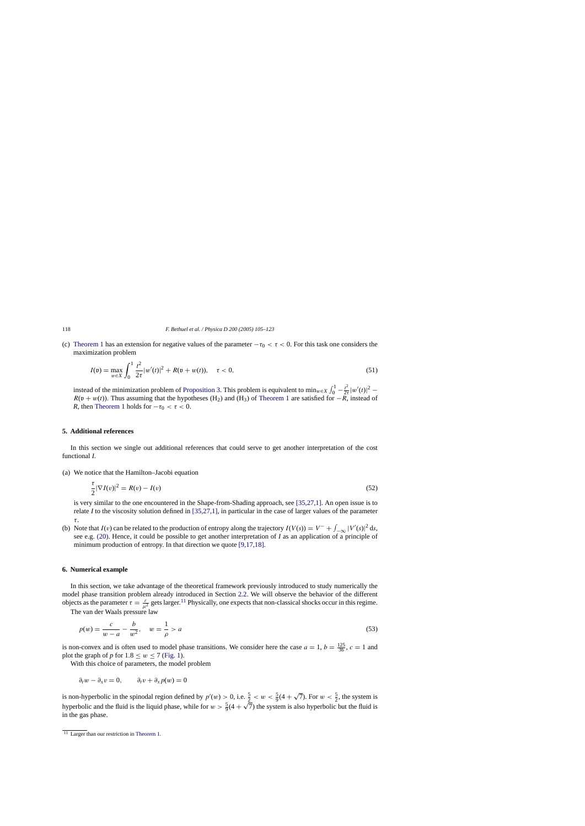(c) [Theorem 1](#page-4-0) has an extension for negative values of the parameter  $-\tau_0 < \tau < 0$ . For this task one considers the maximization problem

$$
I(\mathfrak{v}) = \max_{w \in X} \int_0^1 \frac{t^2}{2\tau} |w'(t)|^2 + R(\mathfrak{v} + w(t)), \quad \tau < 0,\tag{51}
$$

instead of the minimization problem of [Proposition 3. T](#page-8-0)his problem is equivalent to  $\min_{w \in X} \int_0^1 -\frac{t^2}{2\tau} |w'(t)|^2$  $R(\mathfrak{v} + w(t))$ . Thus assuming that the hypotheses (H<sub>2</sub>) and (H<sub>3</sub>) of [Theorem 1](#page-4-0) are satisfied for  $-\tilde{R}$ , instead of *R*, then [Theorem 1](#page-4-0) holds for  $-\tau_0 < \tau < 0$ .

## **5. Additional references**

In this section we single out additional references that could serve to get another interpretation of the cost functional *I*.

(a) We notice that the Hamilton–Jacobi equation

$$
\frac{\tau}{2}|\nabla I(v)|^2 = R(v) - I(v) \tag{52}
$$

is very similar to the one encountered in the Shape-from-Shading approach, see [\[35,27,1\]. A](#page-18-0)n open issue is to relate *I* to the viscosity solution defined in [\[35,27,1\],](#page-18-0) in particular in the case of larger values of the parameter τ.

(b) Note that  $I(v)$  can be related to the production of entropy along the trajectory  $I(V(s)) = V^- + \int_{-\infty}^{\infty} |V'(s)|^2 ds$ , see e.g. [\(20\).](#page-4-0) Hence, it could be possible to get another interpretation of *I* as an application of a principle of minimum production of entropy. In that direction we quote [\[9,17,18\].](#page-17-0)

#### **6. Numerical example**

In this section, we take advantage of the theoretical framework previously introduced to study numerically the model phase transition problem already introduced in Section [2.2.](#page-5-0) We will observe the behavior of the different objects as the parameter  $\tau = \frac{\varepsilon}{\mu^2}$  gets larger.<sup>11</sup> Physically, one expects that non-classical shocks occur in this regime.

The van der Waals pressure law

$$
p(w) = \frac{c}{w - a} - \frac{b}{w^2}, \quad w = \frac{1}{\rho} > a
$$
\n(53)

is non-convex and is often used to model phase transitions. We consider here the case  $a = 1$ ,  $b = \frac{125}{36}$ ,  $c = 1$  and plot the graph of *p* for  $1.8 \leq w \leq 7$  ([Fig. 1\).](#page-14-0)

With this choice of parameters, the model problem

$$
\partial_t w - \partial_x v = 0, \qquad \partial_t v + \partial_x p(w) = 0
$$

is non-hyperbolic in the spinodal region defined by  $p'(w) > 0$ , i.e.  $\frac{5}{2} < w < \frac{5}{9}(4 + \sqrt{7})$ . For  $w < \frac{5}{2}$ , the system is hyperbolic and the fluid is the liquid phase, while for  $w > \frac{5}{9}(4 + \sqrt{7})$  the system is also hyperbolic but the fluid is the liquid phase, while for  $w > \frac{5}{9}(4 + \sqrt{7})$  the system is also hyperbolic but the fluid is in the gas phase.

<span id="page-13-0"></span>

 $\frac{11}{11}$  Larger than our restriction in [Theorem 1.](#page-4-0)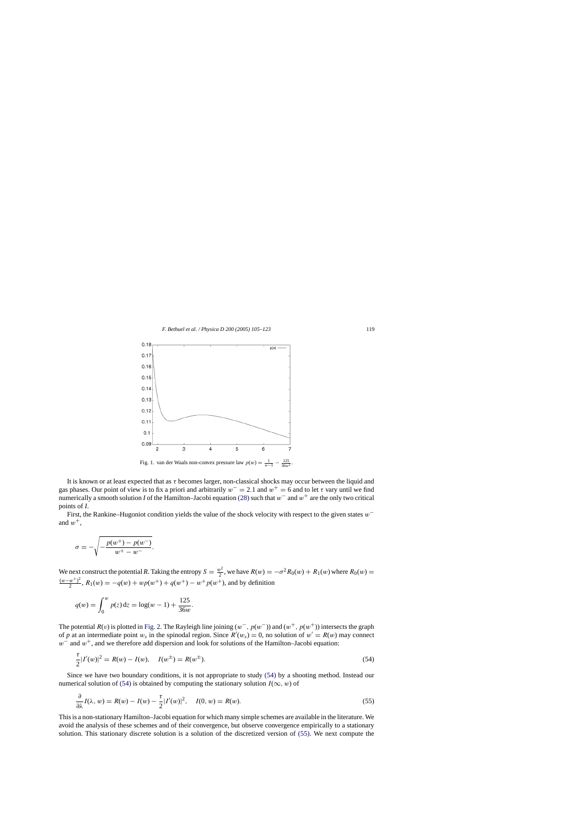<span id="page-14-0"></span>

It is known or at least expected that as  $\tau$  becomes larger, non-classical shocks may occur between the liquid and gas phases. Our point of view is to fix a priori and arbitrarily  $w^- = 2.1$  and  $w^+ = 6$  and to let  $\tau$  vary until we find numerically a smooth solution *I* of the Hamilton–Jacobi equation [\(28\)](#page-6-0) such that w<sup>−</sup> and w<sup>+</sup> are the only two critical points of *I*.

First, the Rankine–Hugoniot condition yields the value of the shock velocity with respect to the given states w<sup>−</sup> and  $w^+$ ,

$$
\sigma = -\sqrt{-\frac{p(w^{+}) - p(w^{-})}{w^{+} - w^{-}}}.
$$

We next construct the potential *R*. Taking the entropy  $S = \frac{w^2}{2}$ , we have  $R(w) = -\sigma^2 R_0(w) + R_1(w)$  where  $R_0(w) =$  $\frac{(w-w^+)^2}{2}$ ,  $R_1(w) = -q(w) + wp(w^+) + q(w^+) - w^+p(w^+)$ , and by definition

$$
q(w) = \int_0^w p(z) dz = \log(w - 1) + \frac{125}{36w}.
$$

The potential  $R(v)$  is plotted in [Fig. 2. T](#page-15-0)he Rayleigh line joining  $(w^-, p(w^-))$  and  $(w^+, p(w^+))$  intersects the graph of p at an intermediate point  $w_s$  in the spinodal region. Since  $R'(w_s) = 0$ , no solution of  $w' = R(w)$  may connect  $w^-$  and  $w^+$ , and we therefore add dispersion and look for solutions of the Hamilton–Jacobi equation:

$$
\frac{\tau}{2}|I'(w)|^2 = R(w) - I(w), \quad I(w^{\pm}) = R(w^{\pm}).
$$
\n(54)

Since we have two boundary conditions, it is not appropriate to study (54) by a shooting method. Instead our numerical solution of (54) is obtained by computing the stationary solution  $I(\infty, w)$  of

$$
\frac{\partial}{\partial \lambda} I(\lambda, w) = R(w) - I(w) - \frac{\tau}{2} |I'(w)|^2, \quad I(0, w) = R(w).
$$
\n(55)

This is a non-stationary Hamilton–Jacobi equation for which many simple schemes are available in the literature. We avoid the analysis of these schemes and of their convergence, but observe convergence empirically to a stationary solution. This stationary discrete solution is a solution of the discretized version of (55). We next compute the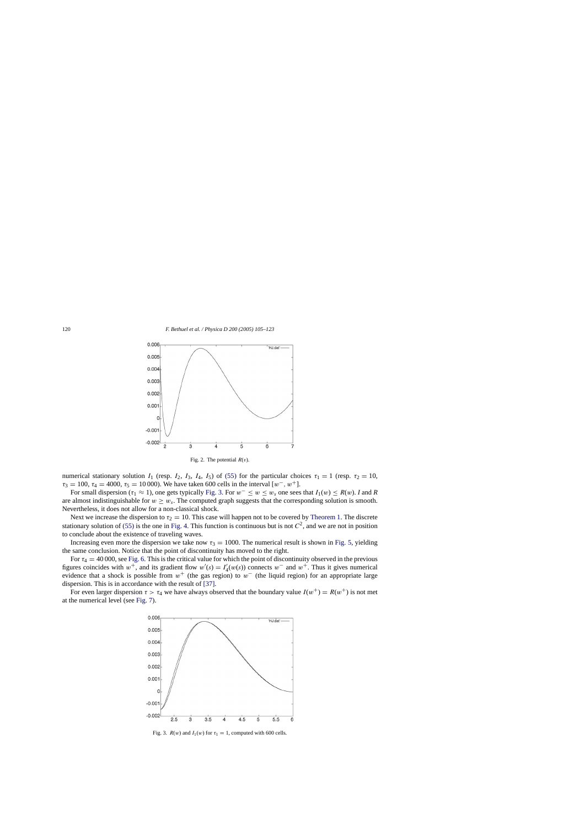<span id="page-15-0"></span>

Fig. 2. The potential  $R(v)$ .

numerical stationary solution  $I_1$  (resp.  $I_2$ ,  $I_3$ ,  $I_4$ ,  $I_5$ ) of [\(55\)](#page-14-0) for the particular choices  $\tau_1 = 1$  (resp.  $\tau_2 = 10$ ,  $\tau_3 = 100$ ,  $\tau_4 = 4000$ ,  $\tau_5 = 10000$ . We have taken 600 cells in the interval  $[w^-, w^+]$ .

For small dispersion ( $\tau_1 \approx 1$ ), one gets typically Fig. 3. For  $w^- \le w \le w_s$  one sees that  $I_1(w) \le R(w)$ . *I* and *R* are almost indistinguishable for  $w \geq w_s$ . The computed graph suggests that the corresponding solution is smooth. Nevertheless, it does not allow for a non-classical shock.

Next we increase the dispersion to  $\tau_2 = 10$ . This case will happen not to be covered by [Theorem 1.](#page-4-0) The discrete stationary solution of [\(55\)](#page-14-0) is the one in [Fig. 4.](#page-16-0) This function is continuous but is not  $C<sup>2</sup>$ , and we are not in position to conclude about the existence of traveling waves.

Increasing even more the dispersion we take now  $\tau_3 = 1000$ . The numerical result is shown in [Fig. 5,](#page-16-0) yielding the same conclusion. Notice that the point of discontinuity has moved to the right.

For  $\tau_4 = 40000$ , see [Fig. 6. T](#page-16-0)his is the critical value for which the point of discontinuity observed in the previous figures coincides with  $w^+$ , and its gradient flow  $w'(s) = I'_4(w(s))$  connects  $w^-$  and  $w^+$ . Thus it gives numerical evidence that a shock is possible from  $w^+$  (the gas region) to  $w^-$  (the liquid region) for an appropriate large dispersion. This is in accordance with the result of [\[37\].](#page-18-0)

For even larger dispersion  $\tau > \tau_4$  we have always observed that the boundary value  $I(w^+) = R(w^+)$  is not met at the numerical level (see [Fig. 7\).](#page-17-0)



Fig. 3.  $R(w)$  and  $I_1(w)$  for  $\tau_1 = 1$ , computed with 600 cells.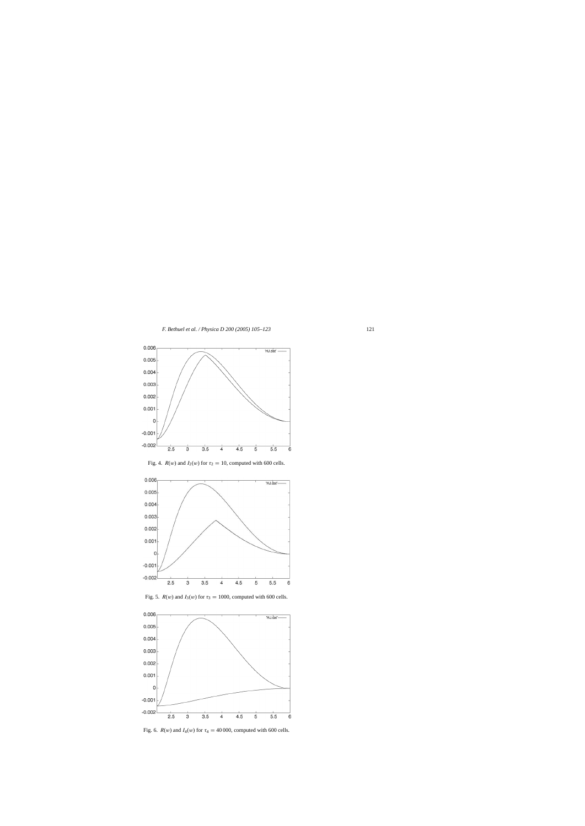<span id="page-16-0"></span>

Fig. 4.  $R(w)$  and  $I_2(w)$  for  $\tau_2 = 10$ , computed with 600 cells.





Fig. 5.  $R(w)$  and  $I_3(w)$  for  $\tau_3 = 1000$ , computed with 600 cells.

Fig. 6.  $R(w)$  and  $I_4(w)$  for  $\tau_4 = 40000$ , computed with 600 cells.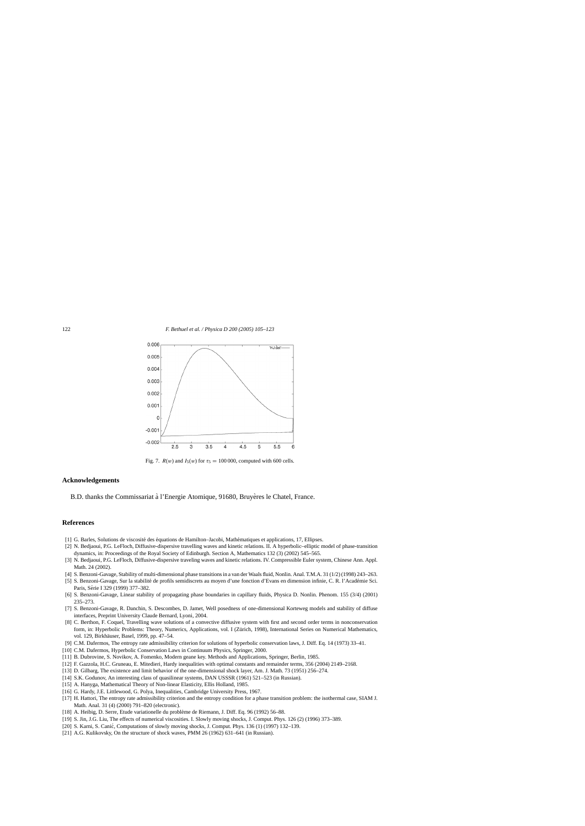<span id="page-17-0"></span>

Fig. 7.  $R(w)$  and  $I_5(w)$  for  $\tau_5 = 100000$ , computed with 600 cells.

#### **Acknowledgements**

B.D. thanks the Commissariat à l'Energie Atomique, 91680, Bruyères le Chatel, France.

## **References**

- [1] G. Barles, Solutions de viscosité des équations de Hamilton–Jacobi, Mathématiques et applications, 17, Ellipses.
- [2] N. Bedjaoui, P.G. LeFloch, Diffusive-dispersive travelling waves and kinetic relations. II. A hyperbolic–elliptic model of phase-transition dynamics, in: Proceedings of the Royal Society of Edinburgh. Section A, Mathematics 132 (3) (2002) 545–565.
- [3] N. Bedjaoui, P.G. LeFloch, Diffusive-dispersive traveling waves and kinetic relations. IV. Compressible Euler system, Chinese Ann. Appl. Math. 24 (2002).
- [4] S. Benzoni-Gavage, Stability of multi-dimensional phase transitions in a van der Waals fluid, Nonlin. Anal. T.M.A. 31 (1/2) (1998) 243–263.
- [5] S. Benzoni-Gavage, Sur la stabilité de profils semidiscrets au moyen d'une fonction d'Evans en dimension infinie, C. R. l'Académie Sci. Paris, Série I 329 (1999) 377-382.
- [6] S. Benzoni-Gavage, Linear stability of propagating phase boundaries in capillary fluids, Physica D. Nonlin. Phenom. 155 (3/4) (2001) 235–273.
- [7] S. Benzoni-Gavage, R. Danchin, S. Descombes, D. Jamet, Well posedness of one-dimensional Korteweg models and stability of diffuse interfaces, Preprint University Claude Bernard, Lyoni, 2004.
- [8] C. Berthon, F. Coquel, Travelling wave solutions of a convective diffusive system with first and second order terms in nonconservation form, in: Hyperbolic Problems: Theory, Numerics, Applications, vol. I (Zürich, 1998), International Series on Numerical Mathematics, vol. 129, Birkhäuser, Basel, 1999, pp. 47-54.
- [9] C.M. Dafermos, The entropy rate admissibility criterion for solutions of hyperbolic conservation laws, J. Diff. Eq. 14 (1973) 33–41.
- [10] C.M. Dafermos, Hyperbolic Conservation Laws in Continuum Physics, Springer, 2000.
- [11] B. Dubrovine, S. Novikov, A. Fomenko, Modern geane key. Methods and Applications, Springer, Berlin, 1985.
- [12] F. Gazzola, H.C. Gruneau, E. Mitedieri, Hardy inequalities with optimal constants and remainder terms, 356 (2004) 2149–2168.
- [13] D. Gilbarg, The existence and limit behavior of the one-dimensional shock layer, Am. J. Math. 73 (1951) 256–274.
- [14] S.K. Godunov, An interesting class of quasilinear systems, DAN USSSR (1961) 521–523 (in Russian).
- [15] A. Hanyga, Mathematical Theory of Non-linear Elasticity, Ellis Holland, 1985.
- [16] G. Hardy, J.E. Littlewood, G. Polya, Inequalities, Cambridge University Press, 1967.
- [17] H. Hattori, The entropy rate admissibility criterion and the entropy condition for a phase transition problem: the isothermal case, SIAM J. Math. Anal. 31 (4) (2000) 791–820 (electronic).
- [18] A. Heibig, D. Serre, Etude variationelle du probleme de Riemann, J. Diff. Eq. 96 (1992) 56–88. `
- [19] S. Jin, J.G. Liu, The effects of numerical viscosities. I. Slowly moving shocks, J. Comput. Phys. 126 (2) (1996) 373–389.
- [20] S. Karni, S. Canić, Computations of slowly moving shocks, J. Comput. Phys. 136 (1) (1997) 132–139.
- [21] A.G. Kulikovsky, On the structure of shock waves, PMM 26 (1962) 631–641 (in Russian).